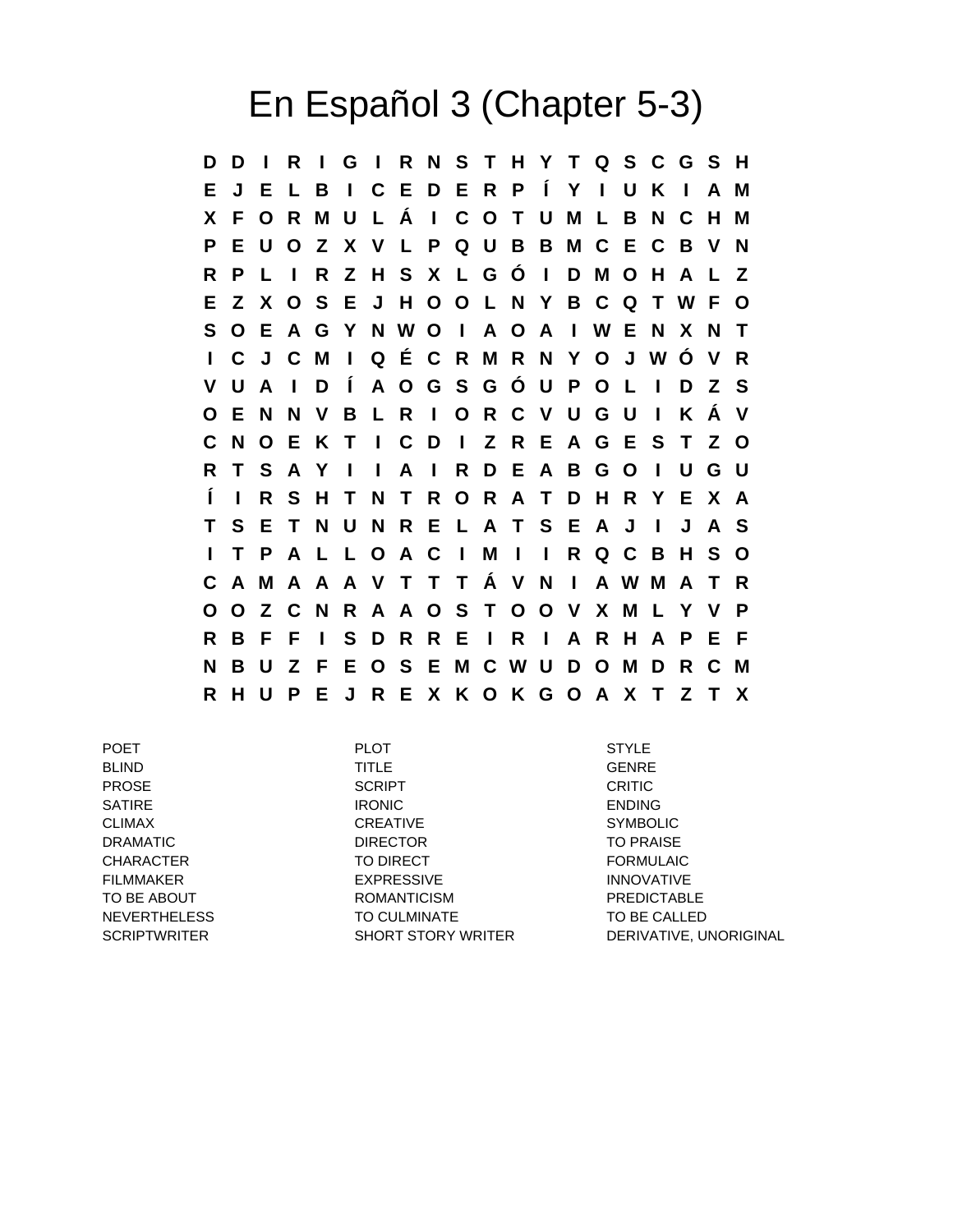## En Español 3 (Chapter 5-3)

**D D I R I G I R N S T H Y T Q S C G S H E J E L B I C E D E R P Í Y I U K I A M X F O R M U L Á I C O T U M L B N C H M P E U O Z X V L P Q U B B M C E C B V N R P L I R Z H S X L G Ó I D M O H A L Z E Z X O S E J H O O L N Y B C Q T W F O S O E A G Y N W O I A O A I W E N X N T I C J C M I Q É C R M R N Y O J W Ó V R V U A I D Í A O G S G Ó U P O L I D Z S O E N N V B L R I O R C V U G U I K Á V C N O E K T I C D I Z R E A G E S T Z O R T S A Y I I A I R D E A B G O I U G U Í I R S H T N T R O R A T D H R Y E X A T S E T N U N R E L A T S E A J I J A S I T P A L L O A C I M I I R Q C B H S O C A M A A A V T T T Á V N I A W M A T R O O Z C N R A A O S T O O V X M L Y V P R B F F I S D R R E I R I A R H A P E F N B U Z F E O S E M C W U D O M D R C M R H U P E J R E X K O K G O A X T Z T X**

POET PLOT STYLE BLIND GENRE PROSE SCRIPT CRITIC SATIRE ENDING IRONIC ENDING CLIMAX CREATIVE SYMBOLIC DRAMATIC DIRECTOR DIRECTOR TO PRAISE CHARACTER TO DIRECT TO DIRECT TO DIRECT TO A PORMULAIC FILMMAKER EXPRESSIVE INNOVATIVE TO BE ABOUT **ROMANTICISM** ROMANTICISM **PREDICTABLE** NEVERTHELESS TO CULMINATE TO BE CALLED

SCRIPTWRITER SHORT STORY WRITER DERIVATIVE, UNORIGINAL